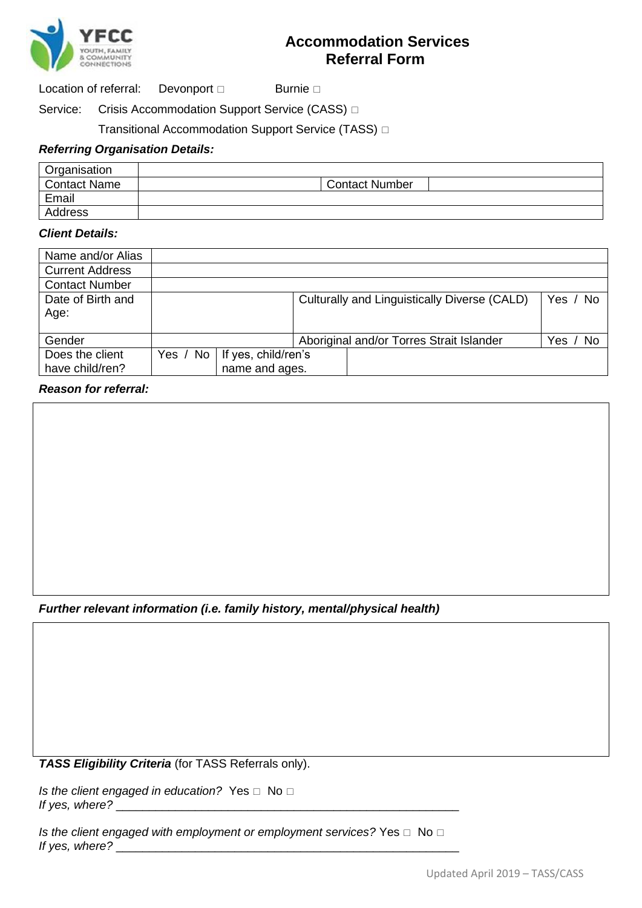

# **Accommodation Services Referral Form**

Location of referral: Devonport  $\Box$  Burnie  $\Box$ 

Service: Crisis Accommodation Support Service (CASS)  $\Box$ 

### Transitional Accommodation Support Service (TASS)

### *Referring Organisation Details:*

| Organisation        |                       |
|---------------------|-----------------------|
| <b>Contact Name</b> | <b>Contact Number</b> |
| Email               |                       |
| Address             |                       |

#### *Client Details:*

| Name and/or Alias      |              |                     |  |                                              |          |
|------------------------|--------------|---------------------|--|----------------------------------------------|----------|
| <b>Current Address</b> |              |                     |  |                                              |          |
| <b>Contact Number</b>  |              |                     |  |                                              |          |
| Date of Birth and      |              |                     |  | Culturally and Linguistically Diverse (CALD) | Yes / No |
| Age:                   |              |                     |  |                                              |          |
|                        |              |                     |  |                                              |          |
| Gender                 |              |                     |  | Aboriginal and/or Torres Strait Islander     | Yes / No |
| Does the client        | Yes / No $ $ | If yes, child/ren's |  |                                              |          |
| have child/ren?        |              | name and ages.      |  |                                              |          |

### *Reason for referral:*

*Further relevant information (i.e. family history, mental/physical health)*

*TASS Eligibility Criteria* (for TASS Referrals only).

*Is the client engaged in education?* Yes  $\Box$  No  $\Box$ *If yes, where?* \_\_\_\_\_\_\_\_\_\_\_\_\_\_\_\_\_\_\_\_\_\_\_\_\_\_\_\_\_\_\_\_\_\_\_\_\_\_\_\_\_\_\_\_\_\_\_\_\_\_\_\_

*Is the client engaged with employment or employment services?* Yes  $\Box$  No  $\Box$ *If yes, where?*